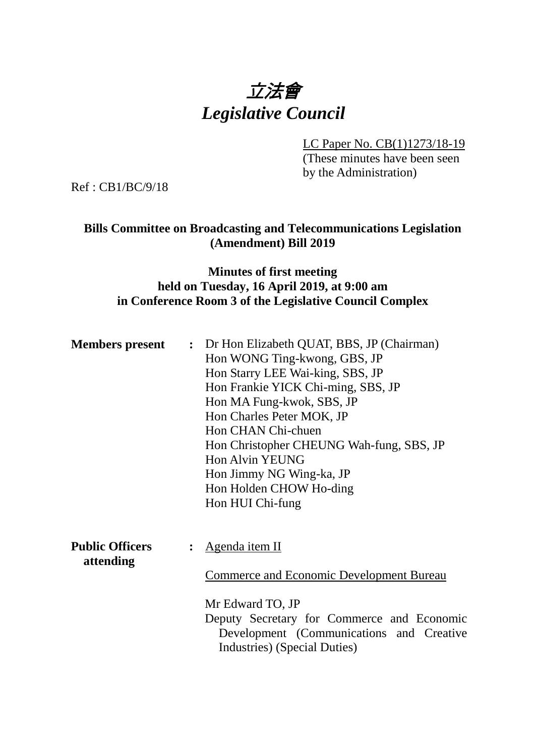

LC Paper No. CB(1)1273/18-19 (These minutes have been seen by the Administration)

Ref : CB1/BC/9/18

### **Bills Committee on Broadcasting and Telecommunications Legislation (Amendment) Bill 2019**

## **Minutes of first meeting held on Tuesday, 16 April 2019, at 9:00 am in Conference Room 3 of the Legislative Council Complex**

| <b>Members present</b> | : Dr Hon Elizabeth QUAT, BBS, JP (Chairman)     |
|------------------------|-------------------------------------------------|
|                        | Hon WONG Ting-kwong, GBS, JP                    |
|                        | Hon Starry LEE Wai-king, SBS, JP                |
|                        | Hon Frankie YICK Chi-ming, SBS, JP              |
|                        | Hon MA Fung-kwok, SBS, JP                       |
|                        | Hon Charles Peter MOK, JP                       |
|                        | Hon CHAN Chi-chuen                              |
|                        | Hon Christopher CHEUNG Wah-fung, SBS, JP        |
|                        | Hon Alvin YEUNG                                 |
|                        | Hon Jimmy NG Wing-ka, JP                        |
|                        | Hon Holden CHOW Ho-ding                         |
|                        | Hon HUI Chi-fung                                |
|                        |                                                 |
|                        |                                                 |
| <b>Public Officers</b> | : Agenda item II                                |
| attending              | <b>Commerce and Economic Development Bureau</b> |
|                        | Mr Edward TO, JP                                |
|                        | Deputy Secretary for Commerce and Economic      |

Development (Communications and Creative Industries) (Special Duties)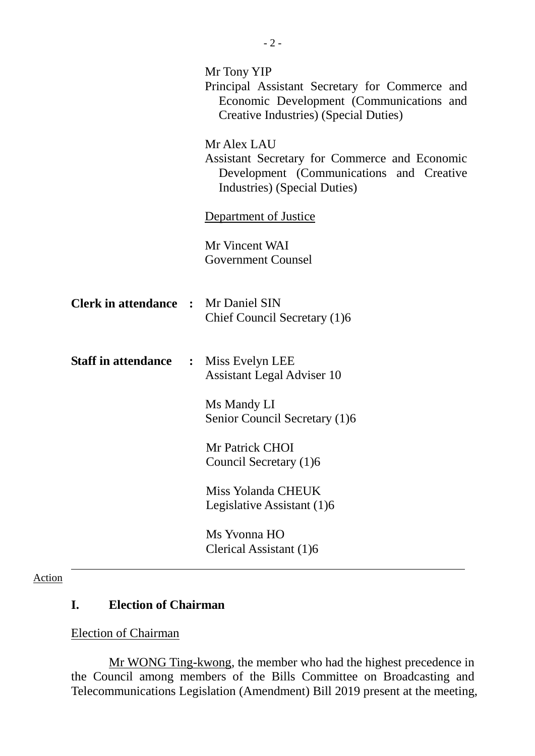|                                              | Mr Tony YIP<br>Principal Assistant Secretary for Commerce and<br>Economic Development (Communications and<br>Creative Industries) (Special Duties) |
|----------------------------------------------|----------------------------------------------------------------------------------------------------------------------------------------------------|
|                                              | Mr Alex LAU<br>Assistant Secretary for Commerce and Economic<br>Development (Communications and Creative<br>Industries) (Special Duties)           |
|                                              | <b>Department of Justice</b>                                                                                                                       |
|                                              | Mr Vincent WAI<br><b>Government Counsel</b>                                                                                                        |
| <b>Clerk in attendance :</b> Mr Daniel SIN   | Chief Council Secretary (1)6                                                                                                                       |
| <b>Staff in attendance : Miss Evelyn LEE</b> | <b>Assistant Legal Adviser 10</b>                                                                                                                  |
|                                              | Ms Mandy LI<br>Senior Council Secretary (1)6                                                                                                       |
|                                              | Mr Patrick CHOI<br>Council Secretary (1)6                                                                                                          |
|                                              | Miss Yolanda CHEUK<br>Legislative Assistant (1)6                                                                                                   |
|                                              | Ms Yvonna HO<br>Clerical Assistant (1)6                                                                                                            |

### Action

# **I. Election of Chairman**

#### Election of Chairman

Mr WONG Ting-kwong, the member who had the highest precedence in the Council among members of the Bills Committee on Broadcasting and Telecommunications Legislation (Amendment) Bill 2019 present at the meeting,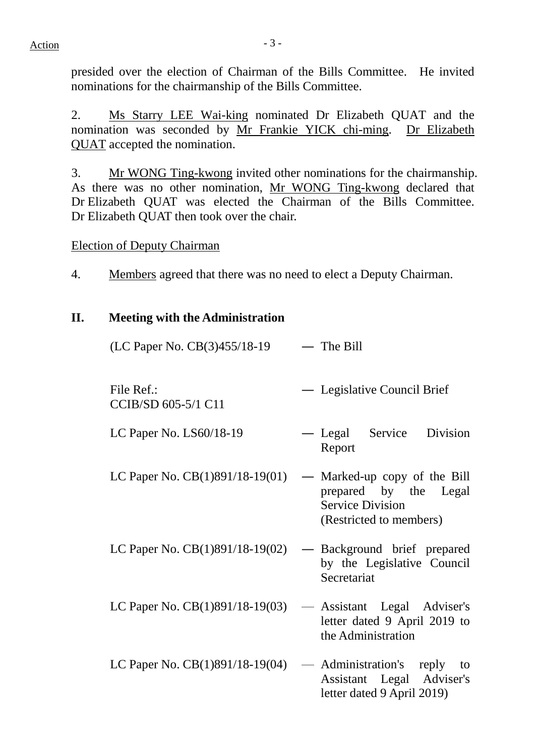$Action$   $-3 -$ 

presided over the election of Chairman of the Bills Committee. He invited nominations for the chairmanship of the Bills Committee.

2. Ms Starry LEE Wai-king nominated Dr Elizabeth QUAT and the nomination was seconded by Mr Frankie YICK chi-ming. Dr Elizabeth QUAT accepted the nomination.

3. Mr WONG Ting-kwong invited other nominations for the chairmanship. As there was no other nomination, Mr WONG Ting-kwong declared that Dr Elizabeth QUAT was elected the Chairman of the Bills Committee. Dr Elizabeth QUAT then took over the chair.

Election of Deputy Chairman

4. Members agreed that there was no need to elect a Deputy Chairman.

# **II. Meeting with the Administration**

| (LC Paper No. CB(3)455/18-19      | $-$ The Bill                                                                                                |
|-----------------------------------|-------------------------------------------------------------------------------------------------------------|
| File Ref.:<br>CCIB/SD 605-5/1 C11 | — Legislative Council Brief                                                                                 |
| LC Paper No. LS60/18-19           | — Legal Service<br>Division<br>Report                                                                       |
| LC Paper No. CB(1)891/18-19(01)   | — Marked-up copy of the Bill<br>prepared by the Legal<br><b>Service Division</b><br>(Restricted to members) |
| LC Paper No. CB(1)891/18-19(02)   | — Background brief prepared<br>by the Legislative Council<br>Secretariat                                    |
| LC Paper No. CB(1)891/18-19(03)   | — Assistant Legal Adviser's<br>letter dated 9 April 2019 to<br>the Administration                           |
| LC Paper No. CB(1)891/18-19(04)   | — Administration's reply<br>to<br>Assistant Legal Adviser's<br>letter dated 9 April 2019)                   |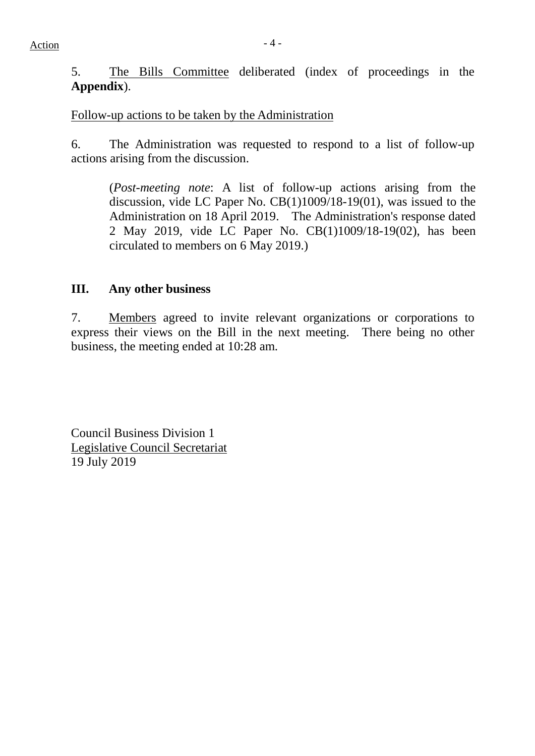5. The Bills Committee deliberated (index of proceedings in the **Appendix**).

Follow-up actions to be taken by the Administration

6. The Administration was requested to respond to a list of follow-up actions arising from the discussion.

(*Post-meeting note*: A list of follow-up actions arising from the discussion, vide LC Paper No. CB(1)1009/18-19(01), was issued to the Administration on 18 April 2019. The Administration's response dated 2 May 2019, vide LC Paper No. CB(1)1009/18-19(02), has been circulated to members on 6 May 2019.)

### **III. Any other business**

7. Members agreed to invite relevant organizations or corporations to express their views on the Bill in the next meeting. There being no other business, the meeting ended at 10:28 am.

Council Business Division 1 Legislative Council Secretariat 19 July 2019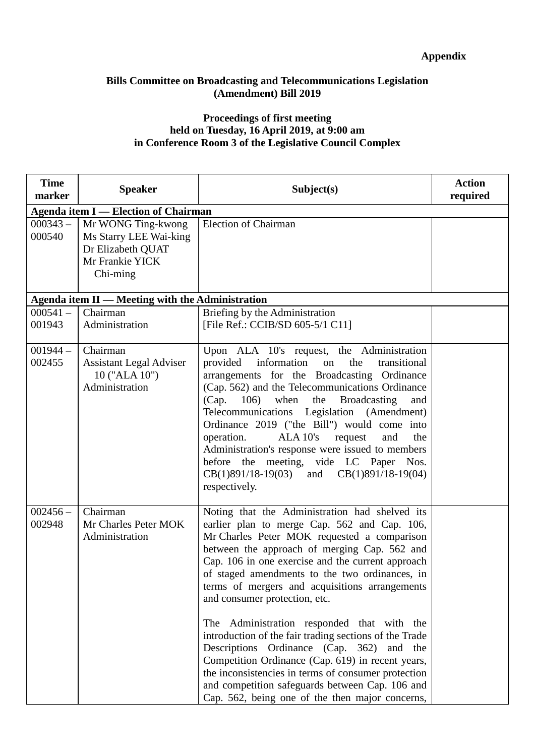#### **Bills Committee on Broadcasting and Telecommunications Legislation (Amendment) Bill 2019**

#### **Proceedings of first meeting held on Tuesday, 16 April 2019, at 9:00 am in Conference Room 3 of the Legislative Council Complex**

| <b>Time</b><br>marker | <b>Speaker</b>                                                                                   | Subject(s)                                                                                                                                                                                                                                                                                                                                                                                                                                                                                                                                                                                                                                                                                                                                                     | <b>Action</b><br>required |
|-----------------------|--------------------------------------------------------------------------------------------------|----------------------------------------------------------------------------------------------------------------------------------------------------------------------------------------------------------------------------------------------------------------------------------------------------------------------------------------------------------------------------------------------------------------------------------------------------------------------------------------------------------------------------------------------------------------------------------------------------------------------------------------------------------------------------------------------------------------------------------------------------------------|---------------------------|
|                       | <b>Agenda item I</b> — Election of Chairman                                                      |                                                                                                                                                                                                                                                                                                                                                                                                                                                                                                                                                                                                                                                                                                                                                                |                           |
| $000343 -$<br>000540  | Mr WONG Ting-kwong<br>Ms Starry LEE Wai-king<br>Dr Elizabeth QUAT<br>Mr Frankie YICK<br>Chi-ming | <b>Election of Chairman</b>                                                                                                                                                                                                                                                                                                                                                                                                                                                                                                                                                                                                                                                                                                                                    |                           |
|                       | Agenda item II - Meeting with the Administration                                                 |                                                                                                                                                                                                                                                                                                                                                                                                                                                                                                                                                                                                                                                                                                                                                                |                           |
| $000541 -$<br>001943  | Chairman<br>Administration                                                                       | Briefing by the Administration<br>[File Ref.: CCIB/SD 605-5/1 C11]                                                                                                                                                                                                                                                                                                                                                                                                                                                                                                                                                                                                                                                                                             |                           |
| $001944-$<br>002455   | Chairman<br><b>Assistant Legal Adviser</b><br>10 ("ALA 10")<br>Administration                    | Upon ALA 10's request, the Administration<br>provided information<br>the<br>on<br>transitional<br>arrangements for the Broadcasting Ordinance<br>(Cap. 562) and the Telecommunications Ordinance<br>when<br>Broadcasting<br>(Cap. 106)<br>the<br>and<br>Telecommunications Legislation (Amendment)<br>Ordinance 2019 ("the Bill") would come into<br>ALA 10's request<br>operation.<br>and<br>the<br>Administration's response were issued to members<br>before the meeting, vide LC Paper Nos.<br>$CB(1)891/18-19(03)$ and $CB(1)891/18-19(04)$<br>respectively.                                                                                                                                                                                              |                           |
| $002456 -$<br>002948  | Chairman<br>Mr Charles Peter MOK<br>Administration                                               | Noting that the Administration had shelved its<br>earlier plan to merge Cap. 562 and Cap. 106,<br>Mr Charles Peter MOK requested a comparison<br>between the approach of merging Cap. 562 and<br>Cap. 106 in one exercise and the current approach<br>of staged amendments to the two ordinances, in<br>terms of mergers and acquisitions arrangements<br>and consumer protection, etc.<br>The Administration responded that with the<br>introduction of the fair trading sections of the Trade<br>Descriptions Ordinance (Cap. 362) and the<br>Competition Ordinance (Cap. 619) in recent years,<br>the inconsistencies in terms of consumer protection<br>and competition safeguards between Cap. 106 and<br>Cap. 562, being one of the then major concerns, |                           |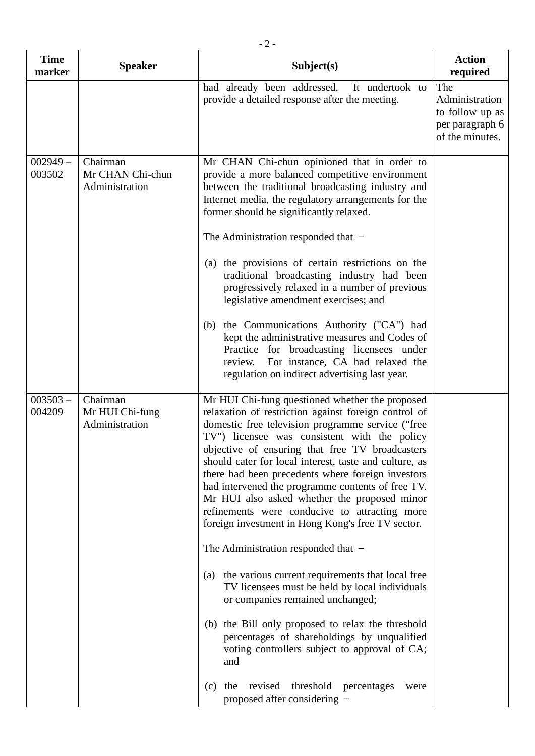| <b>Time</b><br>marker | <b>Speaker</b>                                 | Subject(s)                                                                                                                                                                                                                                                                                                                                                                                                                                                                                                                                                                                                                                                                                                                                                                                                                                                                                                                                                                                                                                      | <b>Action</b><br>required                                                      |
|-----------------------|------------------------------------------------|-------------------------------------------------------------------------------------------------------------------------------------------------------------------------------------------------------------------------------------------------------------------------------------------------------------------------------------------------------------------------------------------------------------------------------------------------------------------------------------------------------------------------------------------------------------------------------------------------------------------------------------------------------------------------------------------------------------------------------------------------------------------------------------------------------------------------------------------------------------------------------------------------------------------------------------------------------------------------------------------------------------------------------------------------|--------------------------------------------------------------------------------|
|                       |                                                | had already been addressed.<br>It undertook to<br>provide a detailed response after the meeting.                                                                                                                                                                                                                                                                                                                                                                                                                                                                                                                                                                                                                                                                                                                                                                                                                                                                                                                                                | The<br>Administration<br>to follow up as<br>per paragraph 6<br>of the minutes. |
| $002949 -$<br>003502  | Chairman<br>Mr CHAN Chi-chun<br>Administration | Mr CHAN Chi-chun opinioned that in order to<br>provide a more balanced competitive environment<br>between the traditional broadcasting industry and<br>Internet media, the regulatory arrangements for the<br>former should be significantly relaxed.<br>The Administration responded that $-$<br>(a) the provisions of certain restrictions on the<br>traditional broadcasting industry had been<br>progressively relaxed in a number of previous<br>legislative amendment exercises; and<br>the Communications Authority ("CA") had<br>(b)<br>kept the administrative measures and Codes of<br>Practice for broadcasting licensees under<br>For instance, CA had relaxed the<br>review.<br>regulation on indirect advertising last year.                                                                                                                                                                                                                                                                                                      |                                                                                |
| $003503 -$<br>004209  | Chairman<br>Mr HUI Chi-fung<br>Administration  | Mr HUI Chi-fung questioned whether the proposed<br>relaxation of restriction against foreign control of<br>domestic free television programme service ("free<br>TV") licensee was consistent with the policy<br>objective of ensuring that free TV broadcasters<br>should cater for local interest, taste and culture, as<br>there had been precedents where foreign investors<br>had intervened the programme contents of free TV.<br>Mr HUI also asked whether the proposed minor<br>refinements were conducive to attracting more<br>foreign investment in Hong Kong's free TV sector.<br>The Administration responded that $-$<br>the various current requirements that local free<br>(a)<br>TV licensees must be held by local individuals<br>or companies remained unchanged;<br>the Bill only proposed to relax the threshold<br>(b)<br>percentages of shareholdings by unqualified<br>voting controllers subject to approval of CA;<br>and<br>threshold<br>revised<br>the<br>percentages<br>(c)<br>were<br>proposed after considering - |                                                                                |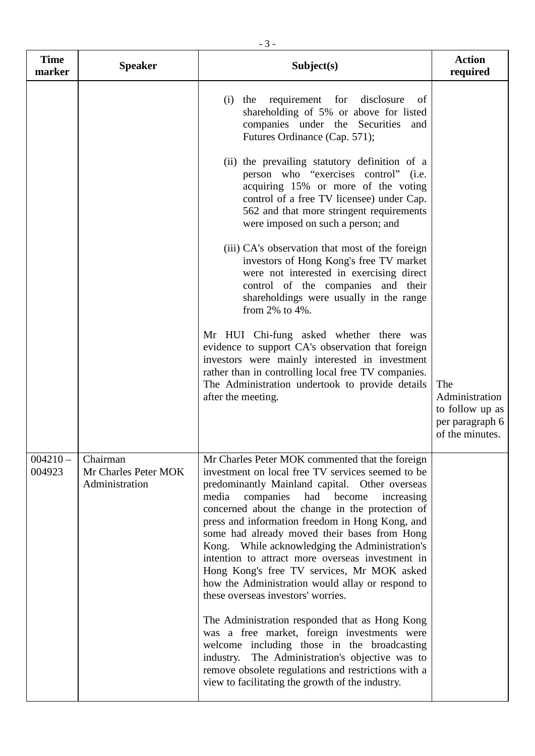| <b>Time</b><br>marker | <b>Speaker</b>                                     | Subject(s)                                                                                                                                                                                                                                                                                                                                                                                                                                                                                                                                                                                                      | <b>Action</b><br>required                                                      |
|-----------------------|----------------------------------------------------|-----------------------------------------------------------------------------------------------------------------------------------------------------------------------------------------------------------------------------------------------------------------------------------------------------------------------------------------------------------------------------------------------------------------------------------------------------------------------------------------------------------------------------------------------------------------------------------------------------------------|--------------------------------------------------------------------------------|
|                       |                                                    | requirement for disclosure<br>$(i)$ the<br><sub>of</sub><br>shareholding of 5% or above for listed<br>companies under the Securities and<br>Futures Ordinance (Cap. 571);                                                                                                                                                                                                                                                                                                                                                                                                                                       |                                                                                |
|                       |                                                    | (ii) the prevailing statutory definition of a<br>person who "exercises control" (i.e.<br>acquiring 15% or more of the voting<br>control of a free TV licensee) under Cap.<br>562 and that more stringent requirements<br>were imposed on such a person; and                                                                                                                                                                                                                                                                                                                                                     |                                                                                |
|                       |                                                    | (iii) CA's observation that most of the foreign<br>investors of Hong Kong's free TV market<br>were not interested in exercising direct<br>control of the companies and their<br>shareholdings were usually in the range<br>from $2\%$ to $4\%$ .                                                                                                                                                                                                                                                                                                                                                                |                                                                                |
|                       |                                                    | Mr HUI Chi-fung asked whether there was<br>evidence to support CA's observation that foreign<br>investors were mainly interested in investment<br>rather than in controlling local free TV companies.<br>The Administration undertook to provide details<br>after the meeting.                                                                                                                                                                                                                                                                                                                                  | The<br>Administration<br>to follow up as<br>per paragraph 6<br>of the minutes. |
| $004210 -$<br>004923  | Chairman<br>Mr Charles Peter MOK<br>Administration | Mr Charles Peter MOK commented that the foreign<br>investment on local free TV services seemed to be<br>predominantly Mainland capital. Other overseas<br>companies<br>had<br>become<br>media<br>increasing<br>concerned about the change in the protection of<br>press and information freedom in Hong Kong, and<br>some had already moved their bases from Hong<br>Kong. While acknowledging the Administration's<br>intention to attract more overseas investment in<br>Hong Kong's free TV services, Mr MOK asked<br>how the Administration would allay or respond to<br>these overseas investors' worries. |                                                                                |
|                       |                                                    | The Administration responded that as Hong Kong<br>was a free market, foreign investments were<br>welcome including those in the broadcasting<br>industry. The Administration's objective was to<br>remove obsolete regulations and restrictions with a<br>view to facilitating the growth of the industry.                                                                                                                                                                                                                                                                                                      |                                                                                |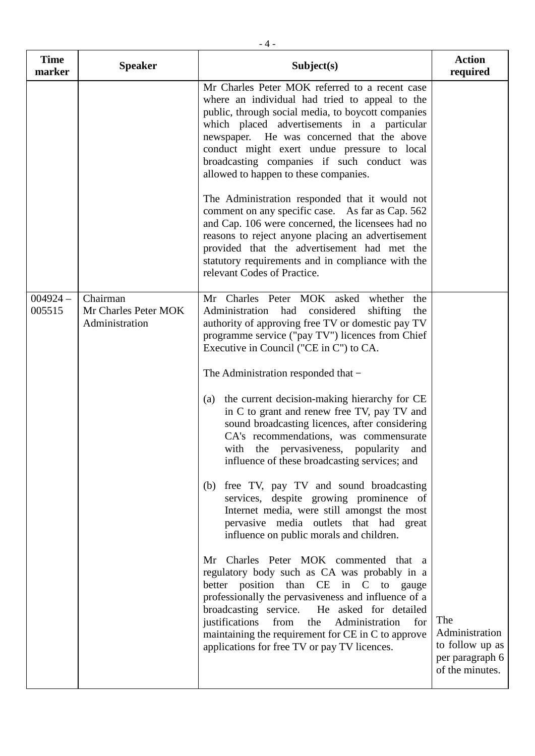| <b>Time</b><br>marker | <b>Speaker</b>                                     | Subject(s)                                                                                                                                                                                                                                                                                                                                                                                                                                                                                                                                                                                                                                                                                                                                                                                                                                                                                                                                                                                                                                                                                                                                                                                                                     | <b>Action</b><br>required                                                      |
|-----------------------|----------------------------------------------------|--------------------------------------------------------------------------------------------------------------------------------------------------------------------------------------------------------------------------------------------------------------------------------------------------------------------------------------------------------------------------------------------------------------------------------------------------------------------------------------------------------------------------------------------------------------------------------------------------------------------------------------------------------------------------------------------------------------------------------------------------------------------------------------------------------------------------------------------------------------------------------------------------------------------------------------------------------------------------------------------------------------------------------------------------------------------------------------------------------------------------------------------------------------------------------------------------------------------------------|--------------------------------------------------------------------------------|
|                       |                                                    | Mr Charles Peter MOK referred to a recent case<br>where an individual had tried to appeal to the<br>public, through social media, to boycott companies<br>which placed advertisements in a particular<br>newspaper. He was concerned that the above<br>conduct might exert undue pressure to local<br>broadcasting companies if such conduct was<br>allowed to happen to these companies.<br>The Administration responded that it would not<br>comment on any specific case. As far as Cap. 562<br>and Cap. 106 were concerned, the licensees had no<br>reasons to reject anyone placing an advertisement<br>provided that the advertisement had met the<br>statutory requirements and in compliance with the<br>relevant Codes of Practice.                                                                                                                                                                                                                                                                                                                                                                                                                                                                                   |                                                                                |
| $004924 -$<br>005515  | Chairman<br>Mr Charles Peter MOK<br>Administration | Mr Charles Peter MOK asked whether<br>the<br>Administration had considered<br>shifting<br>the<br>authority of approving free TV or domestic pay TV<br>programme service ("pay TV") licences from Chief<br>Executive in Council ("CE in C") to CA.<br>The Administration responded that -<br>the current decision-making hierarchy for CE<br>(a)<br>in C to grant and renew free TV, pay TV and<br>sound broadcasting licences, after considering<br>CA's recommendations, was commensurate<br>with the pervasiveness, popularity and<br>influence of these broadcasting services; and<br>free TV, pay TV and sound broadcasting<br>(b)<br>services, despite growing prominence of<br>Internet media, were still amongst the most<br>pervasive media outlets that had great<br>influence on public morals and children.<br>Mr Charles Peter MOK commented that a<br>regulatory body such as CA was probably in a<br>better position than CE in C to gauge<br>professionally the pervasiveness and influence of a<br>broadcasting service.<br>He asked for detailed<br>justifications from<br>Administration<br>the<br>for<br>maintaining the requirement for CE in C to approve<br>applications for free TV or pay TV licences. | The<br>Administration<br>to follow up as<br>per paragraph 6<br>of the minutes. |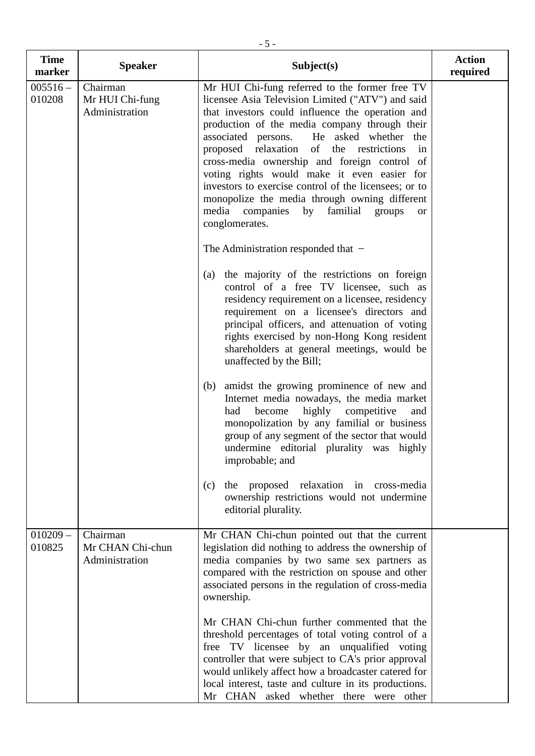| <b>Time</b><br>marker | <b>Speaker</b>                                 | Subject(s)                                                                                                                                                                                                                                                                                                                                                                                                                                                                                                                                                                                                                                 | <b>Action</b><br>required |
|-----------------------|------------------------------------------------|--------------------------------------------------------------------------------------------------------------------------------------------------------------------------------------------------------------------------------------------------------------------------------------------------------------------------------------------------------------------------------------------------------------------------------------------------------------------------------------------------------------------------------------------------------------------------------------------------------------------------------------------|---------------------------|
| $005516 -$<br>010208  | Chairman<br>Mr HUI Chi-fung<br>Administration  | Mr HUI Chi-fung referred to the former free TV<br>licensee Asia Television Limited ("ATV") and said<br>that investors could influence the operation and<br>production of the media company through their<br>He asked whether the<br>associated persons.<br>of<br>proposed relaxation<br>the restrictions<br>in<br>cross-media ownership and foreign control of<br>voting rights would make it even easier for<br>investors to exercise control of the licensees; or to<br>monopolize the media through owning different<br>media<br>companies<br>familial<br>by<br>groups<br>or<br>conglomerates.<br>The Administration responded that $-$ |                           |
|                       |                                                | the majority of the restrictions on foreign<br>(a)<br>control of a free TV licensee, such as<br>residency requirement on a licensee, residency<br>requirement on a licensee's directors and<br>principal officers, and attenuation of voting<br>rights exercised by non-Hong Kong resident<br>shareholders at general meetings, would be<br>unaffected by the Bill;                                                                                                                                                                                                                                                                        |                           |
|                       |                                                | amidst the growing prominence of new and<br>(b)<br>Internet media nowadays, the media market<br>highly<br>become<br>competitive<br>had<br>and<br>monopolization by any familial or business<br>group of any segment of the sector that would<br>undermine editorial plurality was highly<br>improbable; and                                                                                                                                                                                                                                                                                                                                |                           |
|                       |                                                | proposed relaxation in cross-media<br>(c)<br>the<br>ownership restrictions would not undermine<br>editorial plurality.                                                                                                                                                                                                                                                                                                                                                                                                                                                                                                                     |                           |
| $010209 -$<br>010825  | Chairman<br>Mr CHAN Chi-chun<br>Administration | Mr CHAN Chi-chun pointed out that the current<br>legislation did nothing to address the ownership of<br>media companies by two same sex partners as<br>compared with the restriction on spouse and other<br>associated persons in the regulation of cross-media<br>ownership.                                                                                                                                                                                                                                                                                                                                                              |                           |
|                       |                                                | Mr CHAN Chi-chun further commented that the<br>threshold percentages of total voting control of a<br>free TV licensee by an unqualified voting<br>controller that were subject to CA's prior approval<br>would unlikely affect how a broadcaster catered for<br>local interest, taste and culture in its productions.<br>Mr CHAN asked whether there were other                                                                                                                                                                                                                                                                            |                           |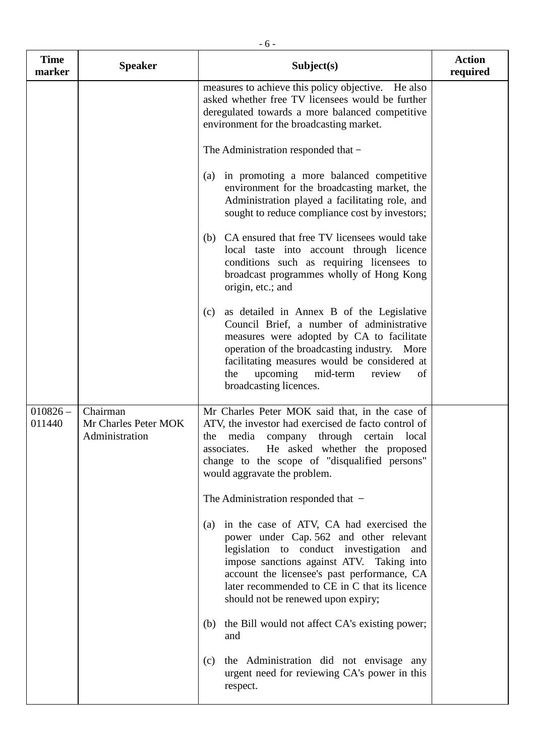| <b>Time</b><br>marker | <b>Speaker</b>                                     | Subject(s)                                                                                                                                                                                                                                                                                                                | <b>Action</b><br>required |
|-----------------------|----------------------------------------------------|---------------------------------------------------------------------------------------------------------------------------------------------------------------------------------------------------------------------------------------------------------------------------------------------------------------------------|---------------------------|
|                       |                                                    | measures to achieve this policy objective. He also<br>asked whether free TV licensees would be further<br>deregulated towards a more balanced competitive<br>environment for the broadcasting market.                                                                                                                     |                           |
|                       |                                                    | The Administration responded that -                                                                                                                                                                                                                                                                                       |                           |
|                       |                                                    | in promoting a more balanced competitive<br>(a)<br>environment for the broadcasting market, the<br>Administration played a facilitating role, and<br>sought to reduce compliance cost by investors;                                                                                                                       |                           |
|                       |                                                    | CA ensured that free TV licensees would take<br>(b)<br>local taste into account through licence<br>conditions such as requiring licensees to<br>broadcast programmes wholly of Hong Kong<br>origin, etc.; and                                                                                                             |                           |
|                       |                                                    | as detailed in Annex B of the Legislative<br>(c)<br>Council Brief, a number of administrative<br>measures were adopted by CA to facilitate<br>operation of the broadcasting industry. More<br>facilitating measures would be considered at<br>upcoming<br>mid-term<br>the<br>review<br>of<br>broadcasting licences.       |                           |
| $010826 -$<br>011440  | Chairman<br>Mr Charles Peter MOK<br>Administration | Mr Charles Peter MOK said that, in the case of<br>ATV, the investor had exercised de facto control of<br>media<br>company<br>through certain<br>the<br>local<br>He asked whether the proposed<br>associates.<br>change to the scope of "disqualified persons"<br>would aggravate the problem.                             |                           |
|                       |                                                    | The Administration responded that $-$                                                                                                                                                                                                                                                                                     |                           |
|                       |                                                    | in the case of ATV, CA had exercised the<br>(a)<br>power under Cap. 562 and other relevant<br>legislation to conduct investigation and<br>impose sanctions against ATV. Taking into<br>account the licensee's past performance, CA<br>later recommended to CE in C that its licence<br>should not be renewed upon expiry; |                           |
|                       |                                                    | the Bill would not affect CA's existing power;<br>(b)<br>and                                                                                                                                                                                                                                                              |                           |
|                       |                                                    | the Administration did not envisage any<br>(c)<br>urgent need for reviewing CA's power in this<br>respect.                                                                                                                                                                                                                |                           |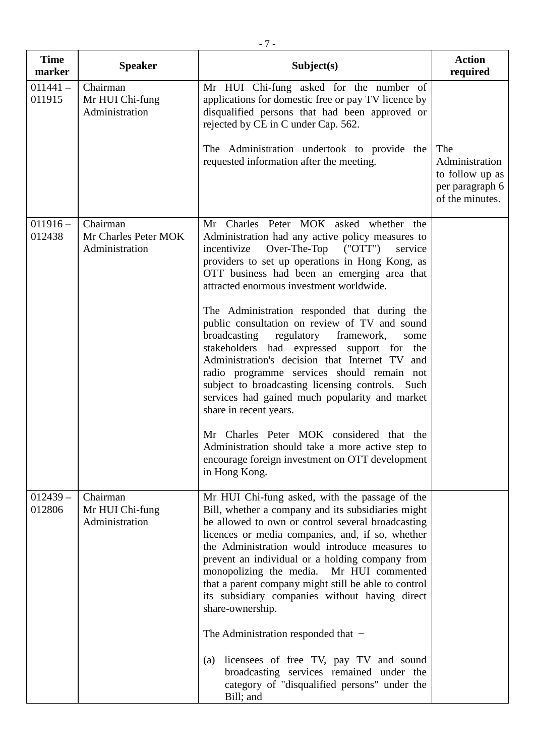| <b>Time</b><br>marker | <b>Speaker</b>                                     | Subject(s)                                                                                                                                                                                                                                                                                                                                                                                                                                                                                   | <b>Action</b><br>required                                                      |
|-----------------------|----------------------------------------------------|----------------------------------------------------------------------------------------------------------------------------------------------------------------------------------------------------------------------------------------------------------------------------------------------------------------------------------------------------------------------------------------------------------------------------------------------------------------------------------------------|--------------------------------------------------------------------------------|
| $011441 -$<br>011915  | Chairman<br>Mr HUI Chi-fung<br>Administration      | Mr HUI Chi-fung asked for the number of<br>applications for domestic free or pay TV licence by<br>disqualified persons that had been approved or<br>rejected by CE in C under Cap. 562.                                                                                                                                                                                                                                                                                                      |                                                                                |
|                       |                                                    | The Administration undertook to provide the<br>requested information after the meeting.                                                                                                                                                                                                                                                                                                                                                                                                      | The<br>Administration<br>to follow up as<br>per paragraph 6<br>of the minutes. |
| $011916 -$<br>012438  | Chairman<br>Mr Charles Peter MOK<br>Administration | Mr Charles Peter MOK asked whether the<br>Administration had any active policy measures to<br>$Over$ -The-Top $(''$ OTT")<br>incentivize<br>service<br>providers to set up operations in Hong Kong, as<br>OTT business had been an emerging area that<br>attracted enormous investment worldwide.                                                                                                                                                                                            |                                                                                |
|                       |                                                    | The Administration responded that during the<br>public consultation on review of TV and sound<br>regulatory framework,<br>broadcasting<br>some<br>stakeholders had expressed support for the<br>Administration's decision that Internet TV and<br>radio programme services should remain not<br>subject to broadcasting licensing controls. Such<br>services had gained much popularity and market<br>share in recent years.                                                                 |                                                                                |
|                       |                                                    | Mr Charles Peter MOK considered that the<br>Administration should take a more active step to<br>encourage foreign investment on OTT development<br>in Hong Kong.                                                                                                                                                                                                                                                                                                                             |                                                                                |
| $012439 -$<br>012806  | Chairman<br>Mr HUI Chi-fung<br>Administration      | Mr HUI Chi-fung asked, with the passage of the<br>Bill, whether a company and its subsidiaries might<br>be allowed to own or control several broadcasting<br>licences or media companies, and, if so, whether<br>the Administration would introduce measures to<br>prevent an individual or a holding company from<br>monopolizing the media. Mr HUI commented<br>that a parent company might still be able to control<br>its subsidiary companies without having direct<br>share-ownership. |                                                                                |
|                       |                                                    | The Administration responded that $-$                                                                                                                                                                                                                                                                                                                                                                                                                                                        |                                                                                |
|                       |                                                    | licensees of free TV, pay TV and sound<br>(a)<br>broadcasting services remained under the<br>category of "disqualified persons" under the<br>Bill; and                                                                                                                                                                                                                                                                                                                                       |                                                                                |